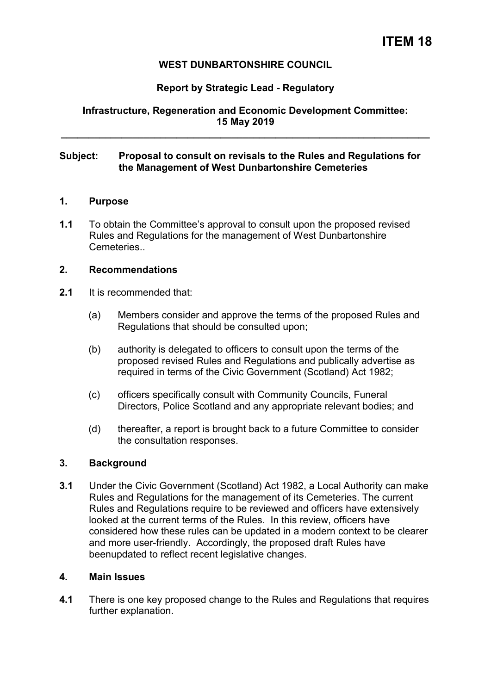# **ITEM 18**

## **WEST DUNBARTONSHIRE COUNCIL**

# **Report by Strategic Lead - Regulatory**

# **Infrastructure, Regeneration and Economic Development Committee: 15 May 2019**

**\_\_\_\_\_\_\_\_\_\_\_\_\_\_\_\_\_\_\_\_\_\_\_\_\_\_\_\_\_\_\_\_\_\_\_\_\_\_\_\_\_\_\_\_\_\_\_\_\_\_\_\_\_\_\_\_\_\_\_\_\_\_\_\_\_\_\_** 

### **Subject: Proposal to consult on revisals to the Rules and Regulations for the Management of West Dunbartonshire Cemeteries**

#### **1. Purpose**

**1.1** To obtain the Committee's approval to consult upon the proposed revised Rules and Regulations for the management of West Dunbartonshire Cemeteries..

## **2. Recommendations**

- **2.1** It is recommended that:
	- (a) Members consider and approve the terms of the proposed Rules and Regulations that should be consulted upon;
	- (b) authority is delegated to officers to consult upon the terms of the proposed revised Rules and Regulations and publically advertise as required in terms of the Civic Government (Scotland) Act 1982;
	- (c) officers specifically consult with Community Councils, Funeral Directors, Police Scotland and any appropriate relevant bodies; and
	- (d) thereafter, a report is brought back to a future Committee to consider the consultation responses.

## **3. Background**

**3.1** Under the Civic Government (Scotland) Act 1982, a Local Authority can make Rules and Regulations for the management of its Cemeteries. The current Rules and Regulations require to be reviewed and officers have extensively looked at the current terms of the Rules. In this review, officers have considered how these rules can be updated in a modern context to be clearer and more user-friendly. Accordingly, the proposed draft Rules have beenupdated to reflect recent legislative changes.

#### **4. Main Issues**

**4.1** There is one key proposed change to the Rules and Regulations that requires further explanation.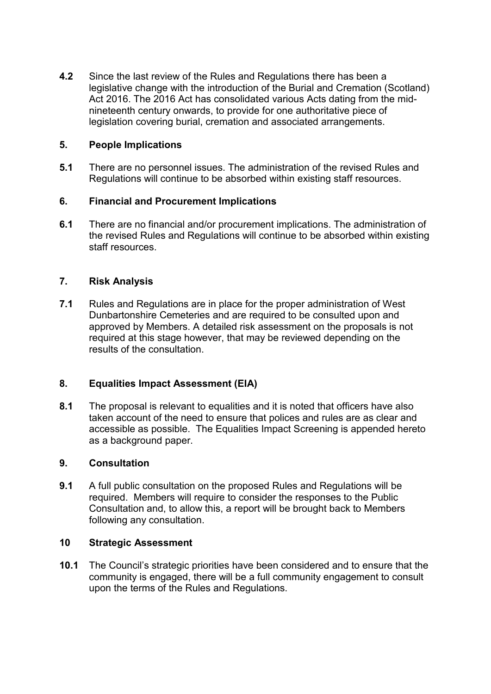**4.2** Since the last review of the Rules and Regulations there has been a legislative change with the introduction of the Burial and Cremation (Scotland) Act 2016. The 2016 Act has consolidated various Acts dating from the midnineteenth century onwards, to provide for one authoritative piece of legislation covering burial, cremation and associated arrangements.

# **5. People Implications**

**5.1** There are no personnel issues. The administration of the revised Rules and Regulations will continue to be absorbed within existing staff resources.

# **6. Financial and Procurement Implications**

**6.1** There are no financial and/or procurement implications. The administration of the revised Rules and Regulations will continue to be absorbed within existing staff resources.

# **7. Risk Analysis**

**7.1** Rules and Regulations are in place for the proper administration of West Dunbartonshire Cemeteries and are required to be consulted upon and approved by Members. A detailed risk assessment on the proposals is not required at this stage however, that may be reviewed depending on the results of the consultation.

# **8. Equalities Impact Assessment (EIA)**

**8.1** The proposal is relevant to equalities and it is noted that officers have also taken account of the need to ensure that polices and rules are as clear and accessible as possible. The Equalities Impact Screening is appended hereto as a background paper.

## **9. Consultation**

**9.1** A full public consultation on the proposed Rules and Regulations will be required. Members will require to consider the responses to the Public Consultation and, to allow this, a report will be brought back to Members following any consultation.

## **10 Strategic Assessment**

**10.1** The Council's strategic priorities have been considered and to ensure that the community is engaged, there will be a full community engagement to consult upon the terms of the Rules and Regulations.